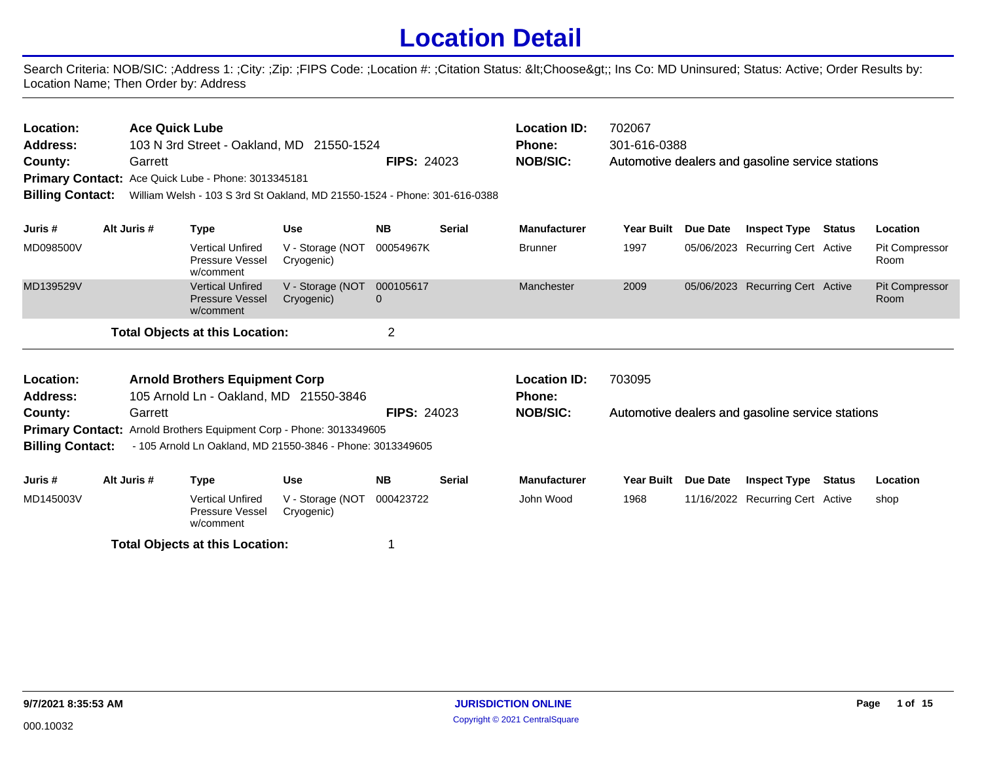## **Location Detail**

Search Criteria: NOB/SIC: ;Address 1: ;City: ;Zip: ;FIPS Code: ;Location #: ;Citation Status: <Choose&gt;; Ins Co: MD Uninsured; Status: Active; Order Results by: Location Name; Then Order by: Address

| Location:<br><b>Address:</b><br>County:                                                                                                                      |  | <b>Ace Quick Lube</b><br>Garrett | Primary Contact: Ace Quick Lube - Phone: 3013345181            | 103 N 3rd Street - Oakland, MD 21550-1524                                 | <b>FIPS: 24023</b>        |               | <b>Location ID:</b><br><b>Phone:</b><br><b>NOB/SIC:</b> | 702067<br>301-616-0388 |          | Automotive dealers and gasoline service stations |               |                               |
|--------------------------------------------------------------------------------------------------------------------------------------------------------------|--|----------------------------------|----------------------------------------------------------------|---------------------------------------------------------------------------|---------------------------|---------------|---------------------------------------------------------|------------------------|----------|--------------------------------------------------|---------------|-------------------------------|
| <b>Billing Contact:</b>                                                                                                                                      |  |                                  |                                                                | William Welsh - 103 S 3rd St Oakland, MD 21550-1524 - Phone: 301-616-0388 |                           |               |                                                         |                        |          |                                                  |               |                               |
|                                                                                                                                                              |  |                                  |                                                                |                                                                           |                           |               |                                                         |                        |          |                                                  |               |                               |
| Juris #                                                                                                                                                      |  | Alt Juris #                      | <b>Type</b>                                                    | <b>Use</b>                                                                | <b>NB</b>                 | Serial        | <b>Manufacturer</b>                                     | <b>Year Built</b>      | Due Date | <b>Inspect Type</b>                              | <b>Status</b> | Location                      |
| MD098500V                                                                                                                                                    |  |                                  | <b>Vertical Unfired</b><br>Pressure Vessel<br>w/comment        | V - Storage (NOT<br>Cryogenic)                                            | 00054967K                 |               | <b>Brunner</b>                                          | 1997                   |          | 05/06/2023 Recurring Cert Active                 |               | Pit Compressor<br>Room        |
| MD139529V                                                                                                                                                    |  |                                  | <b>Vertical Unfired</b><br><b>Pressure Vessel</b><br>w/comment | V - Storage (NOT<br>Cryogenic)                                            | 000105617<br>$\mathbf{0}$ |               | Manchester                                              | 2009                   |          | 05/06/2023 Recurring Cert Active                 |               | <b>Pit Compressor</b><br>Room |
| <b>Total Objects at this Location:</b>                                                                                                                       |  |                                  |                                                                |                                                                           | $\overline{2}$            |               |                                                         |                        |          |                                                  |               |                               |
| Location:                                                                                                                                                    |  |                                  | <b>Arnold Brothers Equipment Corp</b>                          |                                                                           |                           |               | <b>Location ID:</b>                                     | 703095                 |          |                                                  |               |                               |
| <b>Address:</b>                                                                                                                                              |  |                                  | 105 Arnold Ln - Oakland, MD 21550-3846                         |                                                                           |                           |               | Phone:                                                  |                        |          |                                                  |               |                               |
| County:                                                                                                                                                      |  | Garrett                          |                                                                |                                                                           | <b>FIPS: 24023</b>        |               | <b>NOB/SIC:</b>                                         |                        |          | Automotive dealers and gasoline service stations |               |                               |
| Primary Contact: Arnold Brothers Equipment Corp - Phone: 3013349605<br><b>Billing Contact:</b><br>- 105 Arnold Ln Oakland, MD 21550-3846 - Phone: 3013349605 |  |                                  |                                                                |                                                                           |                           |               |                                                         |                        |          |                                                  |               |                               |
| Juris #                                                                                                                                                      |  | Alt Juris #                      | <b>Type</b>                                                    | <b>Use</b>                                                                | <b>NB</b>                 | <b>Serial</b> | <b>Manufacturer</b>                                     | <b>Year Built</b>      | Due Date | <b>Inspect Type</b>                              | Status        | Location                      |
| MD145003V                                                                                                                                                    |  |                                  | <b>Vertical Unfired</b><br>Pressure Vessel<br>w/comment        | V - Storage (NOT<br>Cryogenic)                                            | 000423722                 |               | John Wood                                               | 1968                   |          | 11/16/2022 Recurring Cert Active                 |               | shop                          |
|                                                                                                                                                              |  |                                  | <b>Total Objects at this Location:</b>                         |                                                                           | 1                         |               |                                                         |                        |          |                                                  |               |                               |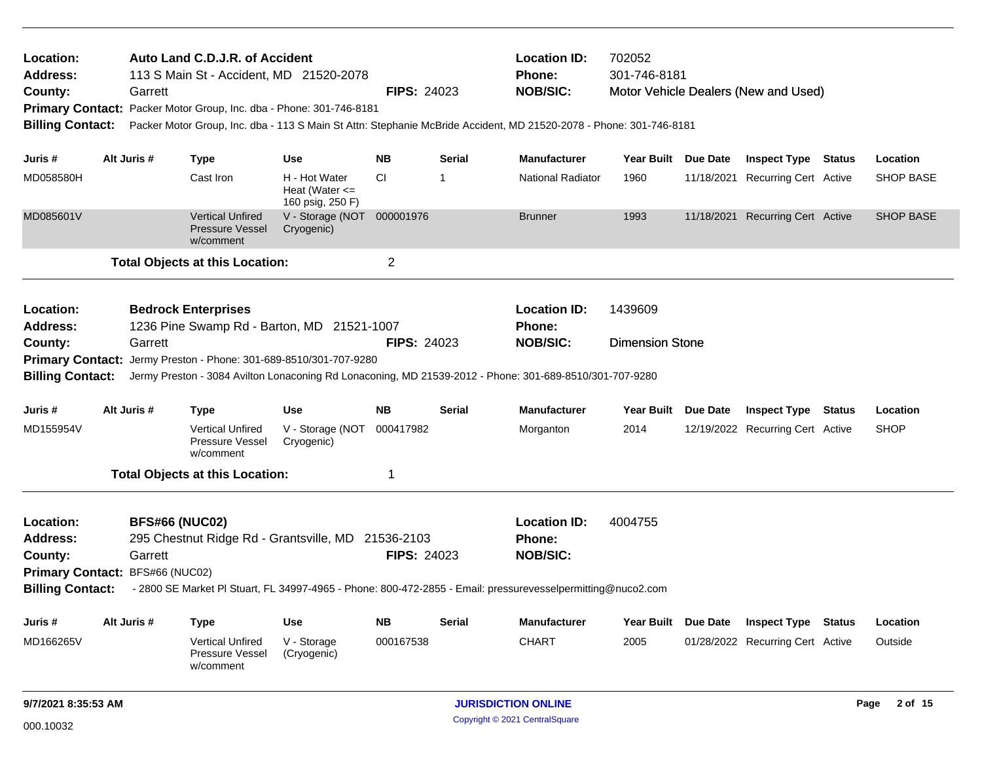| Location:<br><b>Address:</b><br>County:<br><b>Billing Contact:</b> | Garrett                                                                                                                                                                                                                                  | Auto Land C.D.J.R. of Accident<br>113 S Main St - Accident, MD 21520-2078<br>Primary Contact: Packer Motor Group, Inc. dba - Phone: 301-746-8181 |                                                         | <b>FIPS: 24023</b>     |                                                         | <b>Location ID:</b><br>Phone:<br><b>NOB/SIC:</b><br>Packer Motor Group, Inc. dba - 113 S Main St Attn: Stephanie McBride Accident, MD 21520-2078 - Phone: 301-746-8181 | 702052<br>301-746-8181            |                 | Motor Vehicle Dealers (New and Used)                           |                     |
|--------------------------------------------------------------------|------------------------------------------------------------------------------------------------------------------------------------------------------------------------------------------------------------------------------------------|--------------------------------------------------------------------------------------------------------------------------------------------------|---------------------------------------------------------|------------------------|---------------------------------------------------------|------------------------------------------------------------------------------------------------------------------------------------------------------------------------|-----------------------------------|-----------------|----------------------------------------------------------------|---------------------|
| Juris #                                                            | Alt Juris #                                                                                                                                                                                                                              | Type                                                                                                                                             | <b>Use</b>                                              | <b>NB</b>              | <b>Serial</b>                                           | <b>Manufacturer</b>                                                                                                                                                    | Year Built Due Date               |                 | <b>Inspect Type Status</b>                                     | Location            |
| MD058580H                                                          |                                                                                                                                                                                                                                          | Cast Iron                                                                                                                                        | H - Hot Water<br>Heat (Water $\leq$<br>160 psig, 250 F) | CI.                    | $\overline{\phantom{a}}$                                | <b>National Radiator</b>                                                                                                                                               | 1960                              |                 | 11/18/2021 Recurring Cert Active                               | <b>SHOP BASE</b>    |
| MD085601V                                                          |                                                                                                                                                                                                                                          | <b>Vertical Unfired</b><br><b>Pressure Vessel</b><br>w/comment                                                                                   | V - Storage (NOT 000001976<br>Cryogenic)                |                        |                                                         | <b>Brunner</b>                                                                                                                                                         | 1993                              |                 | 11/18/2021 Recurring Cert Active                               | <b>SHOP BASE</b>    |
|                                                                    |                                                                                                                                                                                                                                          | <b>Total Objects at this Location:</b>                                                                                                           |                                                         | $\overline{2}$         |                                                         |                                                                                                                                                                        |                                   |                 |                                                                |                     |
| Location:<br><b>Address:</b><br>County:                            | Garrett                                                                                                                                                                                                                                  | <b>Bedrock Enterprises</b><br>1236 Pine Swamp Rd - Barton, MD 21521-1007<br>Primary Contact: Jermy Preston - Phone: 301-689-8510/301-707-9280    |                                                         | <b>FIPS: 24023</b>     |                                                         | <b>Location ID:</b><br><b>Phone:</b><br><b>NOB/SIC:</b>                                                                                                                | 1439609<br><b>Dimension Stone</b> |                 |                                                                |                     |
| <b>Billing Contact:</b>                                            |                                                                                                                                                                                                                                          |                                                                                                                                                  |                                                         |                        |                                                         | Jermy Preston - 3084 Avilton Lonaconing Rd Lonaconing, MD 21539-2012 - Phone: 301-689-8510/301-707-9280                                                                |                                   |                 |                                                                |                     |
| Juris #                                                            | Alt Juris #                                                                                                                                                                                                                              | <b>Type</b>                                                                                                                                      | <b>Use</b>                                              | <b>NB</b>              | <b>Serial</b>                                           | <b>Manufacturer</b>                                                                                                                                                    | Year Built Due Date               |                 | <b>Inspect Type Status</b>                                     | Location            |
| MD155954V                                                          |                                                                                                                                                                                                                                          | <b>Vertical Unfired</b><br>Pressure Vessel<br>w/comment                                                                                          | V - Storage (NOT<br>Cryogenic)                          | 000417982              |                                                         | Morganton                                                                                                                                                              | 2014                              |                 | 12/19/2022 Recurring Cert Active                               | <b>SHOP</b>         |
|                                                                    |                                                                                                                                                                                                                                          | <b>Total Objects at this Location:</b>                                                                                                           |                                                         | 1                      |                                                         |                                                                                                                                                                        |                                   |                 |                                                                |                     |
| Location:<br><b>Address:</b><br>County:<br><b>Billing Contact:</b> | <b>BFS#66 (NUC02)</b><br>295 Chestnut Ridge Rd - Grantsville, MD 21536-2103<br>Garrett<br>Primary Contact: BFS#66 (NUC02)<br>- 2800 SE Market Pl Stuart, FL 34997-4965 - Phone: 800-472-2855 - Email: pressurevesselpermitting@nuco2.com |                                                                                                                                                  | <b>FIPS: 24023</b>                                      |                        | <b>Location ID:</b><br><b>Phone:</b><br><b>NOB/SIC:</b> | 4004755                                                                                                                                                                |                                   |                 |                                                                |                     |
|                                                                    |                                                                                                                                                                                                                                          |                                                                                                                                                  |                                                         |                        |                                                         |                                                                                                                                                                        |                                   |                 |                                                                |                     |
| Juris#<br>MD166265V                                                | Alt Juris #                                                                                                                                                                                                                              | <b>Type</b><br><b>Vertical Unfired</b><br>Pressure Vessel<br>w/comment                                                                           | <b>Use</b><br>V - Storage<br>(Cryogenic)                | <b>NB</b><br>000167538 | <b>Serial</b>                                           | <b>Manufacturer</b><br><b>CHART</b>                                                                                                                                    | Year Built<br>2005                | <b>Due Date</b> | <b>Inspect Type Status</b><br>01/28/2022 Recurring Cert Active | Location<br>Outside |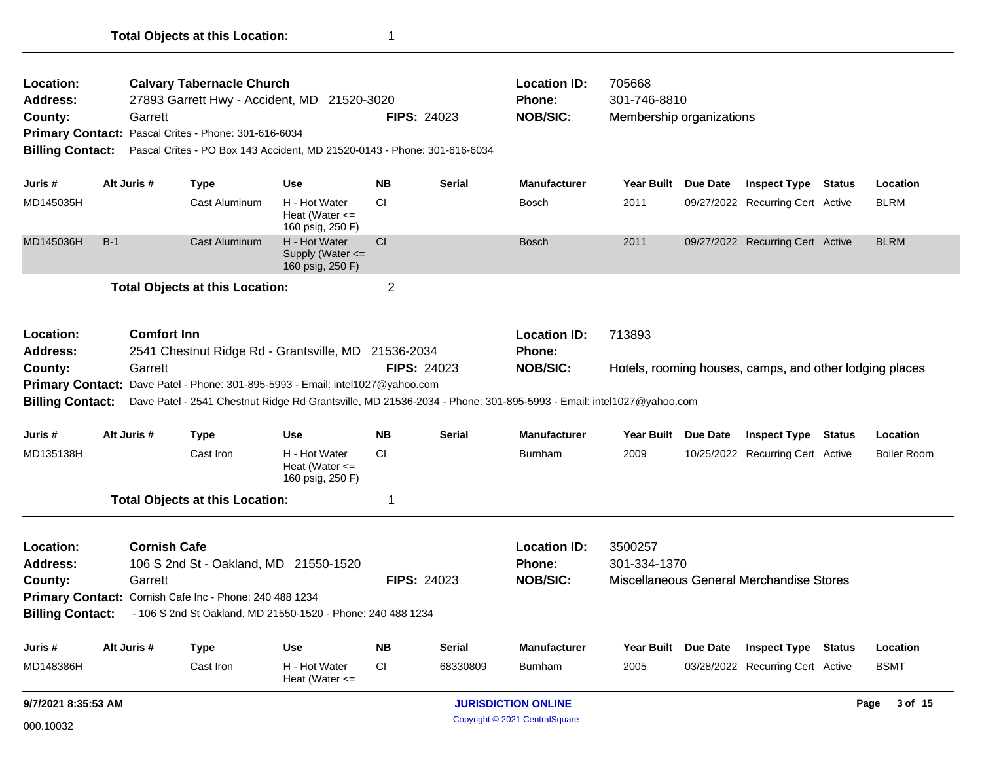| Location:<br><b>Address:</b><br>County:<br><b>Billing Contact:</b> | Garrett     | <b>Calvary Tabernacle Church</b><br>27893 Garrett Hwy - Accident, MD 21520-3020<br>Primary Contact: Pascal Crites - Phone: 301-616-6034<br>Pascal Crites - PO Box 143 Accident, MD 21520-0143 - Phone: 301-616-6034 |                                                         |                                | <b>FIPS: 24023</b> | <b>Location ID:</b><br>Phone:<br><b>NOB/SIC:</b>        | 705668<br>301-746-8810<br>Membership organizations |                 |                                                         |                    |
|--------------------------------------------------------------------|-------------|---------------------------------------------------------------------------------------------------------------------------------------------------------------------------------------------------------------------|---------------------------------------------------------|--------------------------------|--------------------|---------------------------------------------------------|----------------------------------------------------|-----------------|---------------------------------------------------------|--------------------|
| Juris #                                                            | Alt Juris # | <b>Type</b>                                                                                                                                                                                                         | <b>Use</b>                                              | <b>NB</b>                      | <b>Serial</b>      | <b>Manufacturer</b>                                     | <b>Year Built</b>                                  | Due Date        | <b>Inspect Type Status</b>                              | Location           |
| MD145035H                                                          |             | Cast Aluminum                                                                                                                                                                                                       | H - Hot Water<br>Heat (Water $\leq$<br>160 psig, 250 F) | СI                             |                    | Bosch                                                   | 2011                                               |                 | 09/27/2022 Recurring Cert Active                        | <b>BLRM</b>        |
| MD145036H                                                          | $B-1$       | Cast Aluminum                                                                                                                                                                                                       | H - Hot Water<br>Supply (Water <=<br>160 psig, 250 F)   | <b>CI</b>                      |                    | <b>Bosch</b>                                            | 2011                                               |                 | 09/27/2022 Recurring Cert Active                        | <b>BLRM</b>        |
|                                                                    |             | <b>Total Objects at this Location:</b>                                                                                                                                                                              |                                                         | $\overline{c}$                 |                    |                                                         |                                                    |                 |                                                         |                    |
| Location:<br><b>Address:</b>                                       |             | <b>Comfort Inn</b><br>2541 Chestnut Ridge Rd - Grantsville, MD 21536-2034                                                                                                                                           |                                                         |                                |                    | <b>Location ID:</b><br><b>Phone:</b>                    | 713893                                             |                 |                                                         |                    |
| County:                                                            | Garrett     |                                                                                                                                                                                                                     |                                                         |                                | <b>FIPS: 24023</b> | <b>NOB/SIC:</b>                                         |                                                    |                 | Hotels, rooming houses, camps, and other lodging places |                    |
|                                                                    |             | Primary Contact: Dave Patel - Phone: 301-895-5993 - Email: intel1027@yahoo.com                                                                                                                                      |                                                         |                                |                    |                                                         |                                                    |                 |                                                         |                    |
| <b>Billing Contact:</b>                                            |             | Dave Patel - 2541 Chestnut Ridge Rd Grantsville, MD 21536-2034 - Phone: 301-895-5993 - Email: intel1027@yahoo.com                                                                                                   |                                                         |                                |                    |                                                         |                                                    |                 |                                                         |                    |
| Juris #                                                            | Alt Juris # | <b>Type</b>                                                                                                                                                                                                         | <b>Use</b>                                              | <b>NB</b>                      | <b>Serial</b>      | <b>Manufacturer</b>                                     | <b>Year Built</b>                                  | <b>Due Date</b> | <b>Inspect Type Status</b>                              | Location           |
| MD135138H                                                          |             | Cast Iron                                                                                                                                                                                                           | H - Hot Water<br>Heat (Water $\leq$<br>160 psig, 250 F) | <b>CI</b>                      |                    | Burnham                                                 | 2009                                               |                 | 10/25/2022 Recurring Cert Active                        | <b>Boiler Room</b> |
|                                                                    |             | <b>Total Objects at this Location:</b>                                                                                                                                                                              |                                                         | 1                              |                    |                                                         |                                                    |                 |                                                         |                    |
| Location:<br><b>Address:</b><br>County:                            | Garrett     | <b>Cornish Cafe</b><br>106 S 2nd St - Oakland, MD 21550-1520                                                                                                                                                        |                                                         |                                | <b>FIPS: 24023</b> | <b>Location ID:</b><br><b>Phone:</b><br><b>NOB/SIC:</b> | 3500257<br>301-334-1370                            |                 | Miscellaneous General Merchandise Stores                |                    |
| <b>Billing Contact:</b>                                            |             | Primary Contact: Cornish Cafe Inc - Phone: 240 488 1234<br>- 106 S 2nd St Oakland, MD 21550-1520 - Phone: 240 488 1234                                                                                              |                                                         |                                |                    |                                                         |                                                    |                 |                                                         |                    |
| Juris#                                                             | Alt Juris # | <b>Type</b>                                                                                                                                                                                                         | <b>Use</b>                                              | <b>NB</b>                      | <b>Serial</b>      | <b>Manufacturer</b>                                     | <b>Year Built</b>                                  | Due Date        | <b>Inspect Type Status</b>                              | Location           |
| MD148386H                                                          |             | Cast Iron                                                                                                                                                                                                           | H - Hot Water<br>Heat (Water $\leq$                     | <b>CI</b>                      | 68330809           | <b>Burnham</b>                                          | 2005                                               |                 | 03/28/2022 Recurring Cert Active                        | <b>BSMT</b>        |
| 9/7/2021 8:35:53 AM                                                |             |                                                                                                                                                                                                                     |                                                         | <b>JURISDICTION ONLINE</b>     |                    |                                                         |                                                    |                 |                                                         | 3 of 15<br>Page    |
| 000.10032                                                          |             |                                                                                                                                                                                                                     |                                                         | Copyright © 2021 CentralSquare |                    |                                                         |                                                    |                 |                                                         |                    |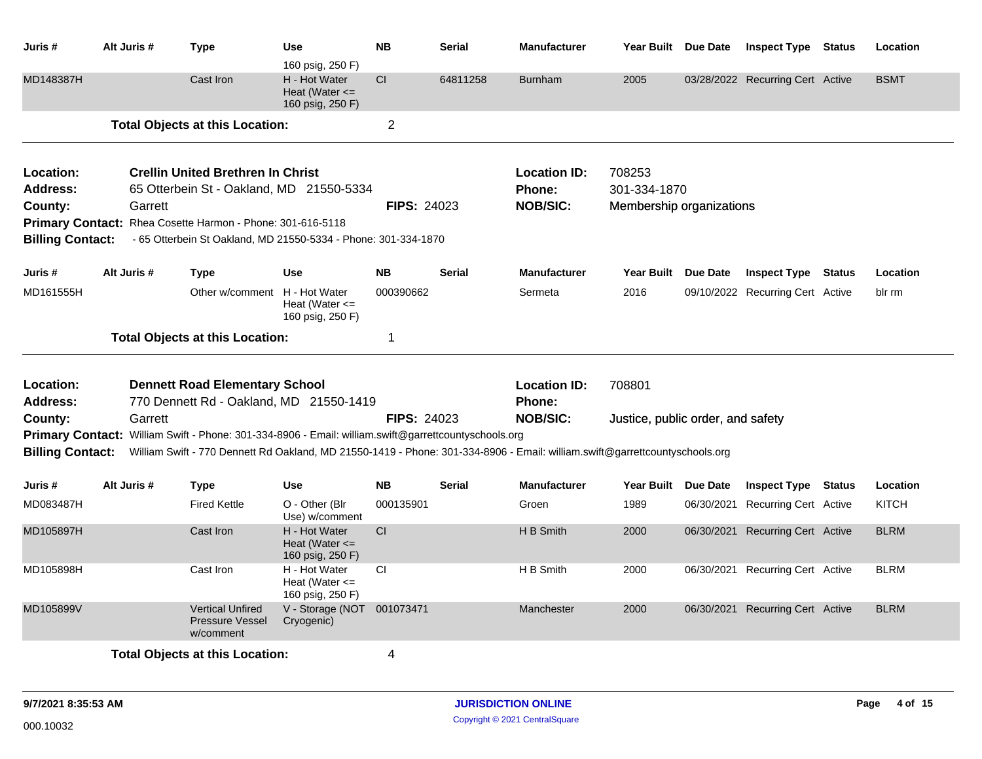| Juris #                                                                                | Alt Juris # | <b>Type</b>                                                                                                                                                                                                                         | <b>Use</b><br>160 psig, 250 F)                          | <b>NB</b>          | <b>Serial</b> | <b>Manufacturer</b>                              | Year Built Due Date                                | <b>Inspect Type Status</b>       |               | Location     |
|----------------------------------------------------------------------------------------|-------------|-------------------------------------------------------------------------------------------------------------------------------------------------------------------------------------------------------------------------------------|---------------------------------------------------------|--------------------|---------------|--------------------------------------------------|----------------------------------------------------|----------------------------------|---------------|--------------|
| MD148387H                                                                              |             | Cast Iron                                                                                                                                                                                                                           | H - Hot Water<br>Heat (Water $\leq$<br>160 psig, 250 F) | <b>CI</b>          | 64811258      | <b>Burnham</b>                                   | 2005                                               | 03/28/2022 Recurring Cert Active |               | <b>BSMT</b>  |
|                                                                                        |             | <b>Total Objects at this Location:</b>                                                                                                                                                                                              |                                                         | $\overline{2}$     |               |                                                  |                                                    |                                  |               |              |
| Location:<br>Address:<br>County:<br><b>Primary Contact:</b><br><b>Billing Contact:</b> | Garrett     | <b>Crellin United Brethren In Christ</b><br>65 Otterbein St - Oakland, MD 21550-5334<br>Rhea Cosette Harmon - Phone: 301-616-5118<br>- 65 Otterbein St Oakland, MD 21550-5334 - Phone: 301-334-1870                                 |                                                         | <b>FIPS: 24023</b> |               | <b>Location ID:</b><br>Phone:<br><b>NOB/SIC:</b> | 708253<br>301-334-1870<br>Membership organizations |                                  |               |              |
| Juris #                                                                                | Alt Juris # | <b>Type</b>                                                                                                                                                                                                                         | <b>Use</b>                                              | <b>NB</b>          | <b>Serial</b> | <b>Manufacturer</b>                              | Year Built Due Date                                | <b>Inspect Type</b>              | <b>Status</b> | Location     |
| MD161555H                                                                              |             | Other w/comment H - Hot Water                                                                                                                                                                                                       | Heat (Water $\leq$<br>160 psig, 250 F)                  | 000390662          |               | Sermeta                                          | 2016                                               | 09/10/2022 Recurring Cert Active |               | blr rm       |
|                                                                                        |             | <b>Total Objects at this Location:</b>                                                                                                                                                                                              |                                                         | $\mathbf 1$        |               |                                                  |                                                    |                                  |               |              |
| Location:<br>Address:                                                                  |             | <b>Dennett Road Elementary School</b><br>770 Dennett Rd - Oakland, MD 21550-1419                                                                                                                                                    |                                                         |                    |               | <b>Location ID:</b><br><b>Phone:</b>             | 708801                                             |                                  |               |              |
| County:<br><b>Billing Contact:</b>                                                     | Garrett     | Primary Contact: William Swift - Phone: 301-334-8906 - Email: william.swift@garrettcountyschools.org<br>William Swift - 770 Dennett Rd Oakland, MD 21550-1419 - Phone: 301-334-8906 - Email: william.swift@garrettcountyschools.org |                                                         | <b>FIPS: 24023</b> |               | <b>NOB/SIC:</b>                                  | Justice, public order, and safety                  |                                  |               |              |
| Juris #                                                                                | Alt Juris # | <b>Type</b>                                                                                                                                                                                                                         | <b>Use</b>                                              | <b>NB</b>          | <b>Serial</b> | <b>Manufacturer</b>                              | Year Built Due Date                                | <b>Inspect Type Status</b>       |               | Location     |
| MD083487H                                                                              |             | <b>Fired Kettle</b>                                                                                                                                                                                                                 | O - Other (Blr)<br>Use) w/comment                       | 000135901          |               | Groen                                            | 1989                                               | 06/30/2021 Recurring Cert Active |               | <b>KITCH</b> |
| MD105897H                                                                              |             | Cast Iron                                                                                                                                                                                                                           | H - Hot Water<br>Heat (Water $\leq$<br>160 psig, 250 F) | CI                 |               | H B Smith                                        | 2000                                               | 06/30/2021 Recurring Cert Active |               | <b>BLRM</b>  |
| MD105898H                                                                              |             | Cast Iron                                                                                                                                                                                                                           | H - Hot Water<br>Heat (Water $\leq$<br>160 psig, 250 F) | <b>CI</b>          |               | H B Smith                                        | 2000                                               | 06/30/2021 Recurring Cert Active |               | <b>BLRM</b>  |
| MD105899V                                                                              |             | <b>Vertical Unfired</b><br><b>Pressure Vessel</b><br>w/comment                                                                                                                                                                      | V - Storage (NOT 001073471<br>Cryogenic)                |                    |               | Manchester                                       | 2000                                               | 06/30/2021 Recurring Cert Active |               | <b>BLRM</b>  |
|                                                                                        |             | <b>Total Objects at this Location:</b>                                                                                                                                                                                              |                                                         | 4                  |               |                                                  |                                                    |                                  |               |              |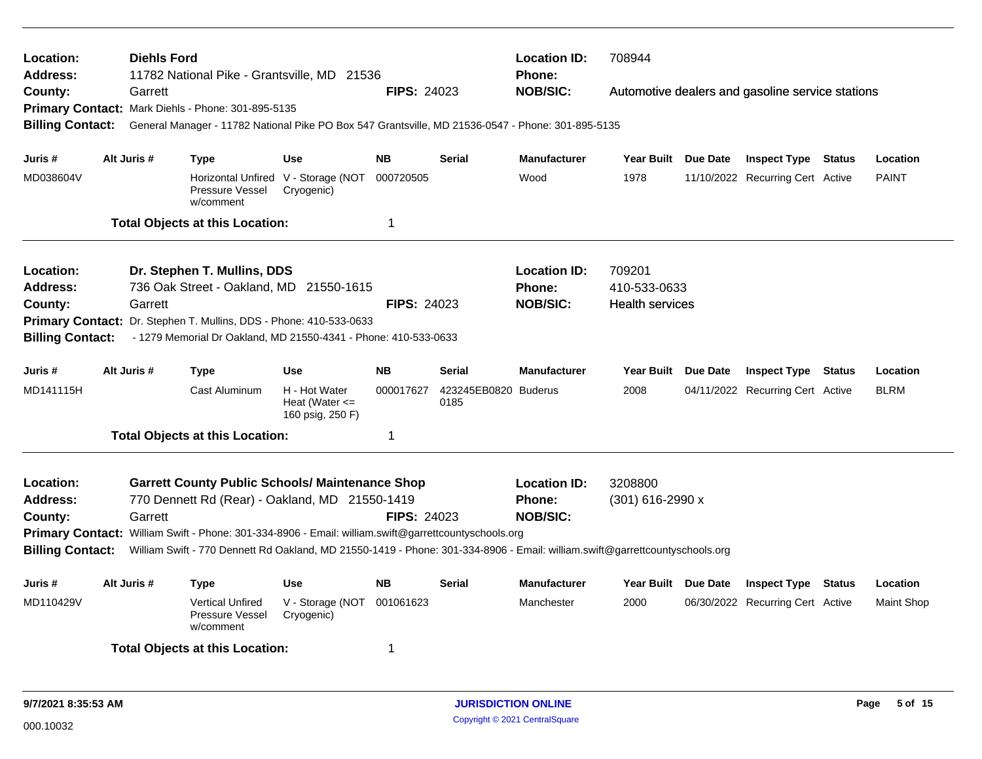| Location:<br><b>Address:</b><br>County: | <b>Diehls Ford</b><br>Garrett | 11782 National Pike - Grantsville, MD 21536<br>Primary Contact: Mark Diehls - Phone: 301-895-5135                                     |                                                         | <b>FIPS: 24023</b> |                              | <b>Location ID:</b><br>Phone:<br><b>NOB/SIC:</b> | 708944              |                 | Automotive dealers and gasoline service stations |               |                   |
|-----------------------------------------|-------------------------------|---------------------------------------------------------------------------------------------------------------------------------------|---------------------------------------------------------|--------------------|------------------------------|--------------------------------------------------|---------------------|-----------------|--------------------------------------------------|---------------|-------------------|
| <b>Billing Contact:</b>                 |                               | General Manager - 11782 National Pike PO Box 547 Grantsville, MD 21536-0547 - Phone: 301-895-5135                                     |                                                         |                    |                              |                                                  |                     |                 |                                                  |               |                   |
| Juris #                                 | Alt Juris #                   | <b>Type</b>                                                                                                                           | <b>Use</b>                                              | <b>NB</b>          | <b>Serial</b>                | <b>Manufacturer</b>                              | Year Built Due Date |                 | <b>Inspect Type Status</b>                       |               | Location          |
| MD038604V                               |                               | Pressure Vessel<br>w/comment                                                                                                          | Horizontal Unfired V - Storage (NOT<br>Cryogenic)       | 000720505          |                              | Wood                                             | 1978                |                 | 11/10/2022 Recurring Cert Active                 |               | <b>PAINT</b>      |
|                                         |                               | <b>Total Objects at this Location:</b>                                                                                                |                                                         | -1                 |                              |                                                  |                     |                 |                                                  |               |                   |
| Location:                               |                               | Dr. Stephen T. Mullins, DDS                                                                                                           |                                                         |                    |                              | <b>Location ID:</b>                              | 709201              |                 |                                                  |               |                   |
| <b>Address:</b>                         |                               | 736 Oak Street - Oakland, MD 21550-1615                                                                                               |                                                         |                    |                              | <b>Phone:</b>                                    | 410-533-0633        |                 |                                                  |               |                   |
| County:                                 | Garrett                       |                                                                                                                                       | <b>FIPS: 24023</b>                                      |                    | <b>NOB/SIC:</b>              | <b>Health services</b>                           |                     |                 |                                                  |               |                   |
| <b>Billing Contact:</b>                 |                               | Primary Contact: Dr. Stephen T. Mullins, DDS - Phone: 410-533-0633<br>- 1279 Memorial Dr Oakland, MD 21550-4341 - Phone: 410-533-0633 |                                                         |                    |                              |                                                  |                     |                 |                                                  |               |                   |
| Juris #                                 | Alt Juris #                   | Type                                                                                                                                  | Use                                                     | <b>NB</b>          | <b>Serial</b>                | <b>Manufacturer</b>                              | Year Built          | <b>Due Date</b> | <b>Inspect Type</b>                              | <b>Status</b> | Location          |
| MD141115H                               |                               | <b>Cast Aluminum</b>                                                                                                                  | H - Hot Water<br>Heat (Water $\leq$<br>160 psig, 250 F) | 000017627          | 423245EB0820 Buderus<br>0185 |                                                  | 2008                |                 | 04/11/2022 Recurring Cert Active                 |               | <b>BLRM</b>       |
|                                         |                               | <b>Total Objects at this Location:</b>                                                                                                |                                                         | $\mathbf 1$        |                              |                                                  |                     |                 |                                                  |               |                   |
| Location:                               |                               | <b>Garrett County Public Schools/ Maintenance Shop</b>                                                                                |                                                         |                    |                              | <b>Location ID:</b>                              | 3208800             |                 |                                                  |               |                   |
| <b>Address:</b>                         |                               | 770 Dennett Rd (Rear) - Oakland, MD 21550-1419                                                                                        |                                                         |                    |                              | Phone:                                           | (301) 616-2990 x    |                 |                                                  |               |                   |
| County:                                 | Garrett                       |                                                                                                                                       |                                                         | <b>FIPS: 24023</b> |                              | <b>NOB/SIC:</b>                                  |                     |                 |                                                  |               |                   |
|                                         |                               | Primary Contact: William Swift - Phone: 301-334-8906 - Email: william.swift@garrettcountyschools.org                                  |                                                         |                    |                              |                                                  |                     |                 |                                                  |               |                   |
| <b>Billing Contact:</b>                 |                               | William Swift - 770 Dennett Rd Oakland, MD 21550-1419 - Phone: 301-334-8906 - Email: william.swift@garrettcountyschools.org           |                                                         |                    |                              |                                                  |                     |                 |                                                  |               |                   |
| Juris #                                 | Alt Juris #                   | <b>Type</b>                                                                                                                           | <b>Use</b>                                              | <b>NB</b>          | <b>Serial</b>                | <b>Manufacturer</b>                              | <b>Year Built</b>   | <b>Due Date</b> | <b>Inspect Type</b>                              | <b>Status</b> | Location          |
| MD110429V                               |                               | <b>Vertical Unfired</b><br><b>Pressure Vessel</b><br>w/comment                                                                        | V - Storage (NOT<br>Cryogenic)                          | 001061623          |                              | Manchester                                       | 2000                |                 | 06/30/2022 Recurring Cert Active                 |               | <b>Maint Shop</b> |
|                                         |                               | <b>Total Objects at this Location:</b>                                                                                                |                                                         | 1                  |                              |                                                  |                     |                 |                                                  |               |                   |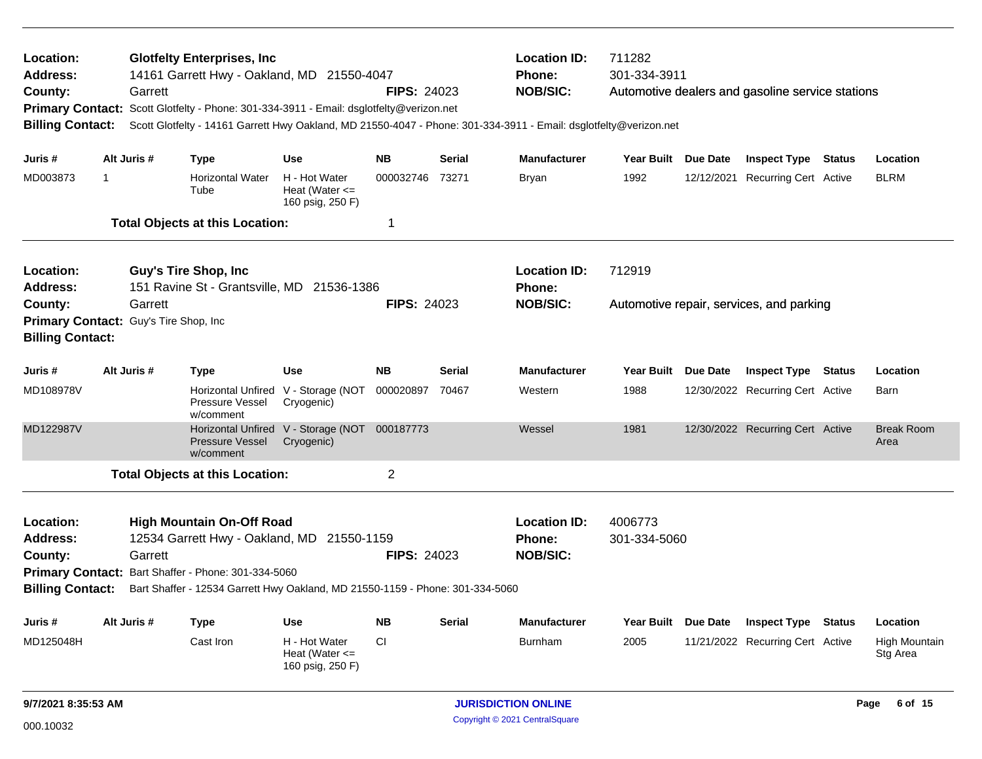| Location:<br><b>Address:</b><br>County:<br><b>Billing Contact:</b>                                                                                                                                                                                                                    |                                                       | Garrett     | <b>Glotfelty Enterprises, Inc</b><br>14161 Garrett Hwy - Oakland, MD 21550-4047<br>Primary Contact: Scott Glotfelty - Phone: 301-334-3911 - Email: dsglotfelty@verizon.net |                                                             | <b>FIPS: 24023</b> |                                                         | <b>Location ID:</b><br><b>Phone:</b><br><b>NOB/SIC:</b><br>Scott Glotfelty - 14161 Garrett Hwy Oakland, MD 21550-4047 - Phone: 301-334-3911 - Email: dsglotfelty@verizon.net | 711282<br>301-334-3911 |          | Automotive dealers and gasoline service stations |  |                           |
|---------------------------------------------------------------------------------------------------------------------------------------------------------------------------------------------------------------------------------------------------------------------------------------|-------------------------------------------------------|-------------|----------------------------------------------------------------------------------------------------------------------------------------------------------------------------|-------------------------------------------------------------|--------------------|---------------------------------------------------------|------------------------------------------------------------------------------------------------------------------------------------------------------------------------------|------------------------|----------|--------------------------------------------------|--|---------------------------|
| Juris #                                                                                                                                                                                                                                                                               |                                                       | Alt Juris # | <b>Type</b>                                                                                                                                                                | <b>Use</b>                                                  | <b>NB</b>          | <b>Serial</b>                                           | <b>Manufacturer</b>                                                                                                                                                          | Year Built Due Date    |          | <b>Inspect Type Status</b>                       |  | Location                  |
| MD003873                                                                                                                                                                                                                                                                              | $\overline{1}$                                        |             | <b>Horizontal Water</b><br>Tube                                                                                                                                            | H - Hot Water<br>Heat (Water $\leq$<br>160 psig, 250 F)     | 000032746          | 73271                                                   | <b>Bryan</b>                                                                                                                                                                 | 1992                   |          | 12/12/2021 Recurring Cert Active                 |  | <b>BLRM</b>               |
|                                                                                                                                                                                                                                                                                       |                                                       |             | <b>Total Objects at this Location:</b>                                                                                                                                     |                                                             | 1                  |                                                         |                                                                                                                                                                              |                        |          |                                                  |  |                           |
| Location:<br><b>Address:</b>                                                                                                                                                                                                                                                          |                                                       |             | <b>Guy's Tire Shop, Inc</b><br>151 Ravine St - Grantsville, MD 21536-1386                                                                                                  |                                                             |                    |                                                         | <b>Location ID:</b><br><b>Phone:</b>                                                                                                                                         | 712919                 |          |                                                  |  |                           |
| Garrett<br>County:<br>Primary Contact: Guy's Tire Shop, Inc<br><b>Billing Contact:</b>                                                                                                                                                                                                |                                                       |             |                                                                                                                                                                            |                                                             | <b>FIPS: 24023</b> |                                                         | <b>NOB/SIC:</b>                                                                                                                                                              |                        |          | Automotive repair, services, and parking         |  |                           |
| Juris #                                                                                                                                                                                                                                                                               | <b>NB</b><br>Alt Juris #<br><b>Use</b><br><b>Type</b> |             | <b>Serial</b>                                                                                                                                                              | <b>Manufacturer</b>                                         | <b>Year Built</b>  | <b>Due Date</b>                                         | <b>Inspect Type</b>                                                                                                                                                          | Status                 | Location |                                                  |  |                           |
| MD108978V                                                                                                                                                                                                                                                                             |                                                       |             | Horizontal Unfired V - Storage (NOT<br><b>Pressure Vessel</b><br>w/comment                                                                                                 | Cryogenic)                                                  | 000020897          | 70467                                                   | Western                                                                                                                                                                      | 1988                   |          | 12/30/2022 Recurring Cert Active                 |  | Barn                      |
| MD122987V                                                                                                                                                                                                                                                                             |                                                       |             | <b>Pressure Vessel</b><br>w/comment                                                                                                                                        | Horizontal Unfired V - Storage (NOT 000187773<br>Cryogenic) |                    |                                                         | Wessel                                                                                                                                                                       | 1981                   |          | 12/30/2022 Recurring Cert Active                 |  | <b>Break Room</b><br>Area |
|                                                                                                                                                                                                                                                                                       |                                                       |             | <b>Total Objects at this Location:</b>                                                                                                                                     |                                                             | $\overline{2}$     |                                                         |                                                                                                                                                                              |                        |          |                                                  |  |                           |
| Location:<br><b>High Mountain On-Off Road</b><br>Address:<br>12534 Garrett Hwy - Oakland, MD<br>Garrett<br>County:<br>Primary Contact: Bart Shaffer - Phone: 301-334-5060<br><b>Billing Contact:</b><br>Bart Shaffer - 12534 Garrett Hwy Oakland, MD 21550-1159 - Phone: 301-334-5060 |                                                       |             | 21550-1159                                                                                                                                                                 | <b>FIPS: 24023</b>                                          |                    | <b>Location ID:</b><br><b>Phone:</b><br><b>NOB/SIC:</b> | 4006773<br>301-334-5060                                                                                                                                                      |                        |          |                                                  |  |                           |
| Juris #                                                                                                                                                                                                                                                                               |                                                       | Alt Juris # | <b>Type</b>                                                                                                                                                                | <b>Use</b>                                                  | <b>NB</b>          | <b>Serial</b>                                           | <b>Manufacturer</b>                                                                                                                                                          | Year Built Due Date    |          | <b>Inspect Type Status</b>                       |  | Location                  |
| MD125048H                                                                                                                                                                                                                                                                             |                                                       |             | Cast Iron                                                                                                                                                                  | H - Hot Water<br>Heat (Water $\leq$<br>160 psig, 250 F)     | <b>CI</b>          |                                                         | <b>Burnham</b>                                                                                                                                                               | 2005                   |          | 11/21/2022 Recurring Cert Active                 |  | High Mountain<br>Stg Area |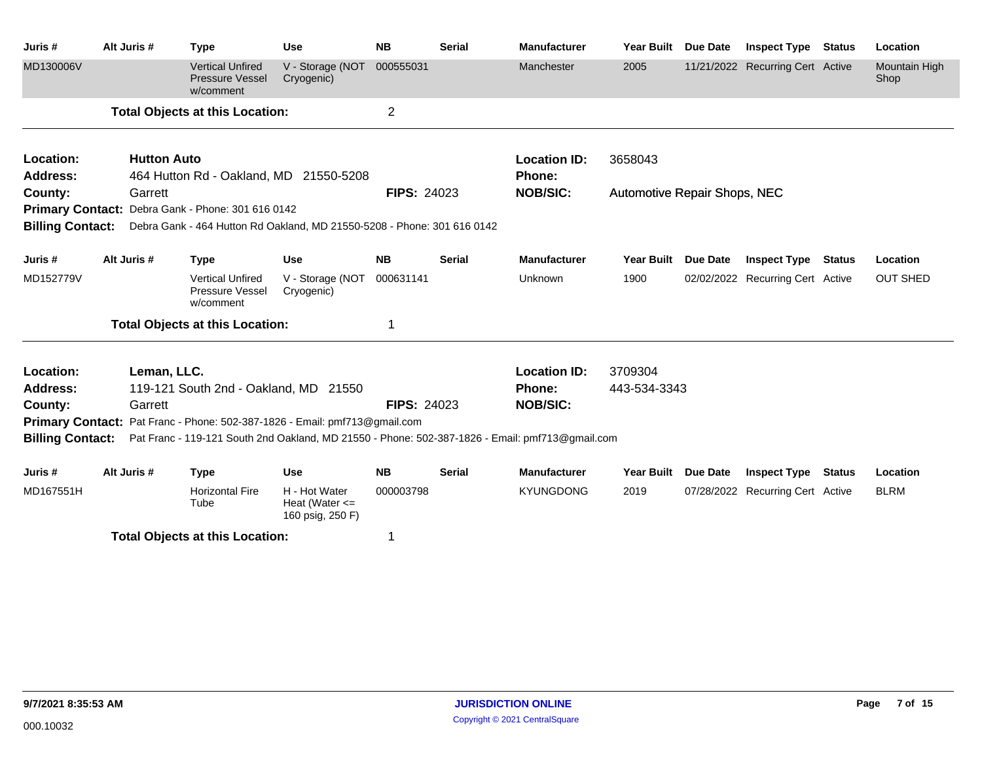| Juris #                 | Alt Juris #                                                                | <b>Type</b>                                                             | <b>Use</b>                                              | <b>NB</b>          | <b>Serial</b> | <b>Manufacturer</b>                                                                             | <b>Year Built</b>                   | <b>Due Date</b> | <b>Inspect Type</b>              | <b>Status</b> | Location                     |
|-------------------------|----------------------------------------------------------------------------|-------------------------------------------------------------------------|---------------------------------------------------------|--------------------|---------------|-------------------------------------------------------------------------------------------------|-------------------------------------|-----------------|----------------------------------|---------------|------------------------------|
| MD130006V               |                                                                            | <b>Vertical Unfired</b><br>Pressure Vessel<br>w/comment                 | V - Storage (NOT<br>Cryogenic)                          | 000555031          |               | Manchester                                                                                      | 2005                                |                 | 11/21/2022 Recurring Cert Active |               | <b>Mountain High</b><br>Shop |
|                         |                                                                            | <b>Total Objects at this Location:</b>                                  |                                                         | $\overline{c}$     |               |                                                                                                 |                                     |                 |                                  |               |                              |
| Location:               | <b>Hutton Auto</b>                                                         |                                                                         |                                                         |                    |               | <b>Location ID:</b>                                                                             | 3658043                             |                 |                                  |               |                              |
| Address:                |                                                                            | 464 Hutton Rd - Oakland, MD 21550-5208                                  |                                                         |                    |               | <b>Phone:</b>                                                                                   |                                     |                 |                                  |               |                              |
| County:                 | Garrett                                                                    |                                                                         |                                                         | <b>FIPS: 24023</b> |               | <b>NOB/SIC:</b>                                                                                 | <b>Automotive Repair Shops, NEC</b> |                 |                                  |               |                              |
|                         |                                                                            | Primary Contact: Debra Gank - Phone: 301 616 0142                       |                                                         |                    |               |                                                                                                 |                                     |                 |                                  |               |                              |
| <b>Billing Contact:</b> |                                                                            | Debra Gank - 464 Hutton Rd Oakland, MD 21550-5208 - Phone: 301 616 0142 |                                                         |                    |               |                                                                                                 |                                     |                 |                                  |               |                              |
| Juris #                 | Alt Juris #                                                                | <b>Type</b>                                                             | <b>Use</b>                                              | <b>NB</b>          | <b>Serial</b> | <b>Manufacturer</b>                                                                             | Year Built                          | <b>Due Date</b> | <b>Inspect Type Status</b>       |               | Location                     |
| MD152779V               |                                                                            | <b>Vertical Unfired</b><br>Pressure Vessel<br>w/comment                 | V - Storage (NOT<br>Cryogenic)                          | 000631141          |               | Unknown                                                                                         | 1900                                |                 | 02/02/2022 Recurring Cert Active |               | <b>OUT SHED</b>              |
|                         |                                                                            | <b>Total Objects at this Location:</b>                                  |                                                         |                    |               |                                                                                                 |                                     |                 |                                  |               |                              |
| Location:               | Leman, LLC.                                                                |                                                                         |                                                         |                    |               | <b>Location ID:</b>                                                                             | 3709304                             |                 |                                  |               |                              |
| <b>Address:</b>         |                                                                            | 119-121 South 2nd - Oakland, MD 21550                                   |                                                         |                    |               | <b>Phone:</b>                                                                                   | 443-534-3343                        |                 |                                  |               |                              |
| County:                 | Garrett                                                                    |                                                                         |                                                         | <b>FIPS: 24023</b> |               | <b>NOB/SIC:</b>                                                                                 |                                     |                 |                                  |               |                              |
|                         | Primary Contact: Pat Franc - Phone: 502-387-1826 - Email: pmf713@gmail.com |                                                                         |                                                         |                    |               |                                                                                                 |                                     |                 |                                  |               |                              |
| <b>Billing Contact:</b> |                                                                            |                                                                         |                                                         |                    |               | Pat Franc - 119-121 South 2nd Oakland, MD 21550 - Phone: 502-387-1826 - Email: pmf713@gmail.com |                                     |                 |                                  |               |                              |
| Juris #                 | Alt Juris #                                                                | <b>Type</b>                                                             | <b>Use</b>                                              | <b>NB</b>          | <b>Serial</b> | <b>Manufacturer</b>                                                                             | <b>Year Built</b>                   | <b>Due Date</b> | <b>Inspect Type</b>              | <b>Status</b> | Location                     |
| MD167551H               |                                                                            | <b>Horizontal Fire</b><br>Tube                                          | H - Hot Water<br>Heat (Water $\leq$<br>160 psig, 250 F) | 000003798          |               | <b>KYUNGDONG</b>                                                                                | 2019                                |                 | 07/28/2022 Recurring Cert Active |               | <b>BLRM</b>                  |

**Total Objects at this Location:** 1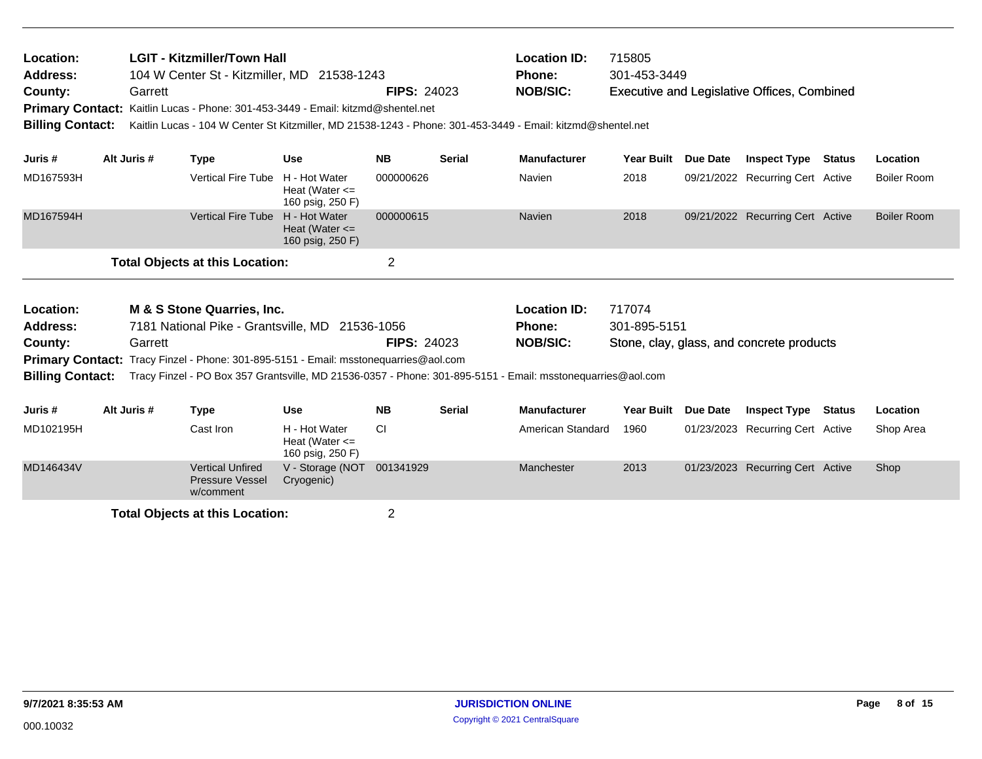| Location:<br><b>Address:</b><br>County:<br><b>Billing Contact:</b> | LGIT - Kitzmiller/Town Hall<br>104 W Center St - Kitzmiller, MD 21538-1243<br>Primary Contact: Kaitlin Lucas - Phone: 301-453-3449 - Email: kitzmd@shentel.net |                                        | <b>FIPS: 24023</b>                                      |                    | <b>Location ID:</b><br><b>Phone:</b><br><b>NOB/SIC:</b><br>Kaitlin Lucas - 104 W Center St Kitzmiller, MD 21538-1243 - Phone: 301-453-3449 - Email: kitzmd@shentel.net | 715805<br>301-453-3449                                  |                        | <b>Executive and Legislative Offices, Combined</b> |                                           |               |                    |
|--------------------------------------------------------------------|----------------------------------------------------------------------------------------------------------------------------------------------------------------|----------------------------------------|---------------------------------------------------------|--------------------|------------------------------------------------------------------------------------------------------------------------------------------------------------------------|---------------------------------------------------------|------------------------|----------------------------------------------------|-------------------------------------------|---------------|--------------------|
| Juris #                                                            | Alt Juris #                                                                                                                                                    | <b>Type</b>                            | <b>Use</b>                                              | <b>NB</b>          | <b>Serial</b>                                                                                                                                                          | <b>Manufacturer</b>                                     | <b>Year Built</b>      | Due Date                                           | <b>Inspect Type</b>                       | <b>Status</b> | Location           |
| MD167593H                                                          |                                                                                                                                                                | <b>Vertical Fire Tube</b>              | H - Hot Water<br>Heat (Water $\leq$<br>160 psig, 250 F) | 000000626          |                                                                                                                                                                        | Navien                                                  | 2018                   |                                                    | 09/21/2022 Recurring Cert Active          |               | <b>Boiler Room</b> |
| MD167594H                                                          |                                                                                                                                                                | <b>Vertical Fire Tube</b>              | H - Hot Water<br>Heat (Water $\leq$<br>160 psig, 250 F) | 000000615          |                                                                                                                                                                        | <b>Navien</b>                                           | 2018                   |                                                    | 09/21/2022 Recurring Cert Active          |               | <b>Boiler Room</b> |
|                                                                    |                                                                                                                                                                | <b>Total Objects at this Location:</b> |                                                         | $\overline{2}$     |                                                                                                                                                                        |                                                         |                        |                                                    |                                           |               |                    |
| <b>Location:</b><br><b>Address:</b><br>County:                     | M & S Stone Quarries, Inc.<br>7181 National Pike - Grantsville, MD 21536-1056<br>Garrett                                                                       |                                        |                                                         | <b>FIPS: 24023</b> |                                                                                                                                                                        | <b>Location ID:</b><br><b>Phone:</b><br><b>NOB/SIC:</b> | 717074<br>301-895-5151 |                                                    | Stone, clay, glass, and concrete products |               |                    |

Primary Contact: Tracy Finzel - Phone: 301-895-5151 - Email: msstonequarries@aol.com **Billing Contact:** Tracy Finzel - PO Box 357 Grantsville, MD 21536-0357 - Phone: 301-895-5151 - Email: msstonequarries@aol.com

| Juris #   | Alt Juris # | Type                                                           | Use                                                     | NΒ        | <b>Serial</b> | <b>Manufacturer</b> | Year Built | <b>Due Date</b> | <b>Inspect Type</b>              | Status | Location  |
|-----------|-------------|----------------------------------------------------------------|---------------------------------------------------------|-----------|---------------|---------------------|------------|-----------------|----------------------------------|--------|-----------|
| MD102195H |             | Cast Iron l                                                    | H - Hot Water<br>Heat (Water $\leq$<br>160 psig, 250 F) | СI        |               | American Standard   | 1960       |                 | 01/23/2023 Recurring Cert Active |        | Shop Area |
| MD146434V |             | <b>Vertical Unfired</b><br><b>Pressure Vessel</b><br>w/comment | V - Storage (NOT<br>Cryogenic)                          | 001341929 |               | Manchester          | 2013       |                 | 01/23/2023 Recurring Cert Active |        | Shop      |

**Total Objects at this Location:** 2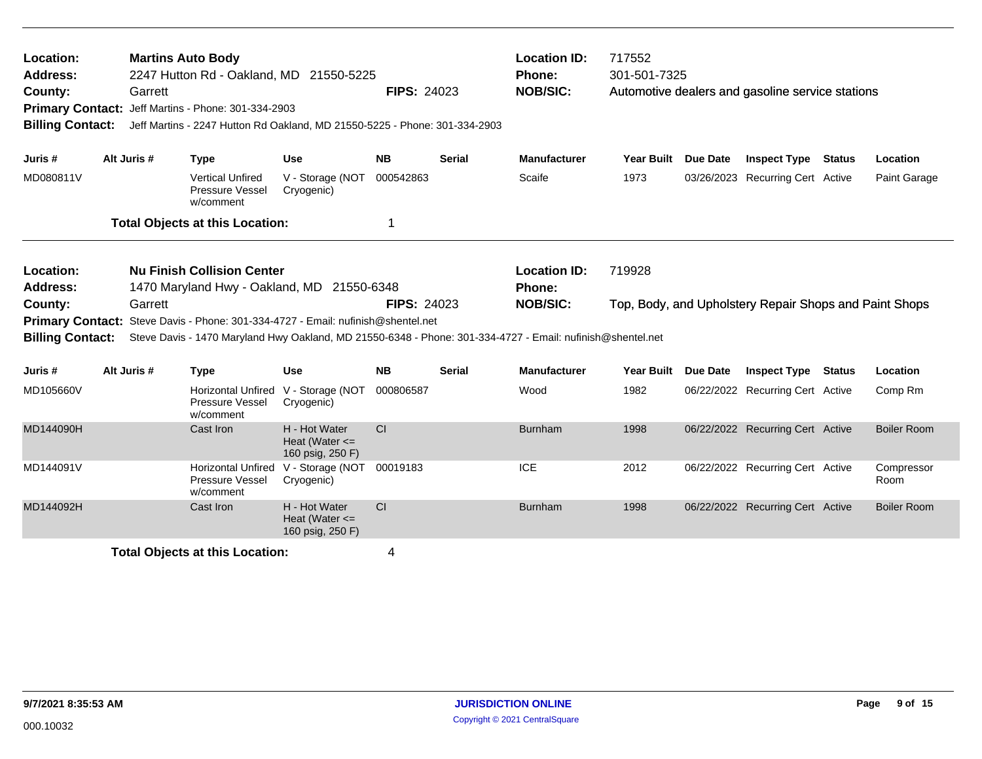| Location:<br>Address:<br>County:<br><b>Billing Contact:</b>                                                                                                                                                                                                                                                                                                                  | Garrett     | <b>Martins Auto Body</b><br>2247 Hutton Rd - Oakland, MD 21550-5225<br>Primary Contact: Jeff Martins - Phone: 301-334-2903<br>Jeff Martins - 2247 Hutton Rd Oakland, MD 21550-5225 - Phone: 301-334-2903 |                                                         | <b>FIPS: 24023</b> |        | <b>Location ID:</b><br><b>Phone:</b><br><b>NOB/SIC:</b> | 717552<br>301-501-7325 | Automotive dealers and gasoline service stations       |        |                    |
|------------------------------------------------------------------------------------------------------------------------------------------------------------------------------------------------------------------------------------------------------------------------------------------------------------------------------------------------------------------------------|-------------|----------------------------------------------------------------------------------------------------------------------------------------------------------------------------------------------------------|---------------------------------------------------------|--------------------|--------|---------------------------------------------------------|------------------------|--------------------------------------------------------|--------|--------------------|
| Juris #                                                                                                                                                                                                                                                                                                                                                                      | Alt Juris # | <b>Type</b>                                                                                                                                                                                              | <b>Use</b>                                              | <b>NB</b>          | Serial | <b>Manufacturer</b>                                     | Year Built Due Date    | <b>Inspect Type</b>                                    | Status | Location           |
| MD080811V                                                                                                                                                                                                                                                                                                                                                                    |             | <b>Vertical Unfired</b><br>Pressure Vessel<br>w/comment                                                                                                                                                  | V - Storage (NOT<br>Cryogenic)                          | 000542863          |        | Scaife                                                  | 1973                   | 03/26/2023 Recurring Cert Active                       |        | Paint Garage       |
|                                                                                                                                                                                                                                                                                                                                                                              |             | <b>Total Objects at this Location:</b>                                                                                                                                                                   |                                                         | 1                  |        |                                                         |                        |                                                        |        |                    |
| <b>Nu Finish Collision Center</b><br>Location:<br><b>Address:</b><br>1470 Maryland Hwy - Oakland, MD 21550-6348<br>County:<br>Garrett<br>Steve Davis - Phone: 301-334-4727 - Email: nufinish@shentel.net<br><b>Primary Contact:</b><br><b>Billing Contact:</b><br>Steve Davis - 1470 Maryland Hwy Oakland, MD 21550-6348 - Phone: 301-334-4727 - Email: nufinish@shentel.net |             |                                                                                                                                                                                                          |                                                         | <b>FIPS: 24023</b> |        | <b>Location ID:</b><br>Phone:<br><b>NOB/SIC:</b>        | 719928                 | Top, Body, and Upholstery Repair Shops and Paint Shops |        |                    |
| Juris #                                                                                                                                                                                                                                                                                                                                                                      | Alt Juris # | <b>Type</b>                                                                                                                                                                                              | <b>Use</b>                                              | <b>NB</b>          | Serial | <b>Manufacturer</b>                                     | Year Built Due Date    | <b>Inspect Type Status</b>                             |        | Location           |
| MD105660V                                                                                                                                                                                                                                                                                                                                                                    |             | <b>Horizontal Unfired</b><br>Pressure Vessel<br>w/comment                                                                                                                                                | V - Storage (NOT<br>Cryogenic)                          | 000806587          |        | Wood                                                    | 1982                   | 06/22/2022 Recurring Cert Active                       |        | Comp Rm            |
| MD144090H                                                                                                                                                                                                                                                                                                                                                                    |             | Cast Iron                                                                                                                                                                                                | H - Hot Water<br>Heat (Water $\leq$<br>160 psig, 250 F) | <b>CI</b>          |        | <b>Burnham</b>                                          | 1998                   | 06/22/2022 Recurring Cert Active                       |        | <b>Boiler Room</b> |
| MD144091V                                                                                                                                                                                                                                                                                                                                                                    |             | <b>Horizontal Unfired</b><br>Pressure Vessel<br>w/comment                                                                                                                                                | V - Storage (NOT<br>Cryogenic)                          | 00019183           |        | <b>ICE</b>                                              | 2012                   | 06/22/2022 Recurring Cert Active                       |        | Compressor<br>Room |
| MD144092H                                                                                                                                                                                                                                                                                                                                                                    |             | Cast Iron                                                                                                                                                                                                | H - Hot Water<br>Heat (Water $\leq$<br>160 psig, 250 F) | <b>CI</b>          |        | <b>Burnham</b>                                          | 1998                   | 06/22/2022 Recurring Cert Active                       |        | <b>Boiler Room</b> |
|                                                                                                                                                                                                                                                                                                                                                                              |             | <b>Total Objects at this Location:</b>                                                                                                                                                                   |                                                         | 4                  |        |                                                         |                        |                                                        |        |                    |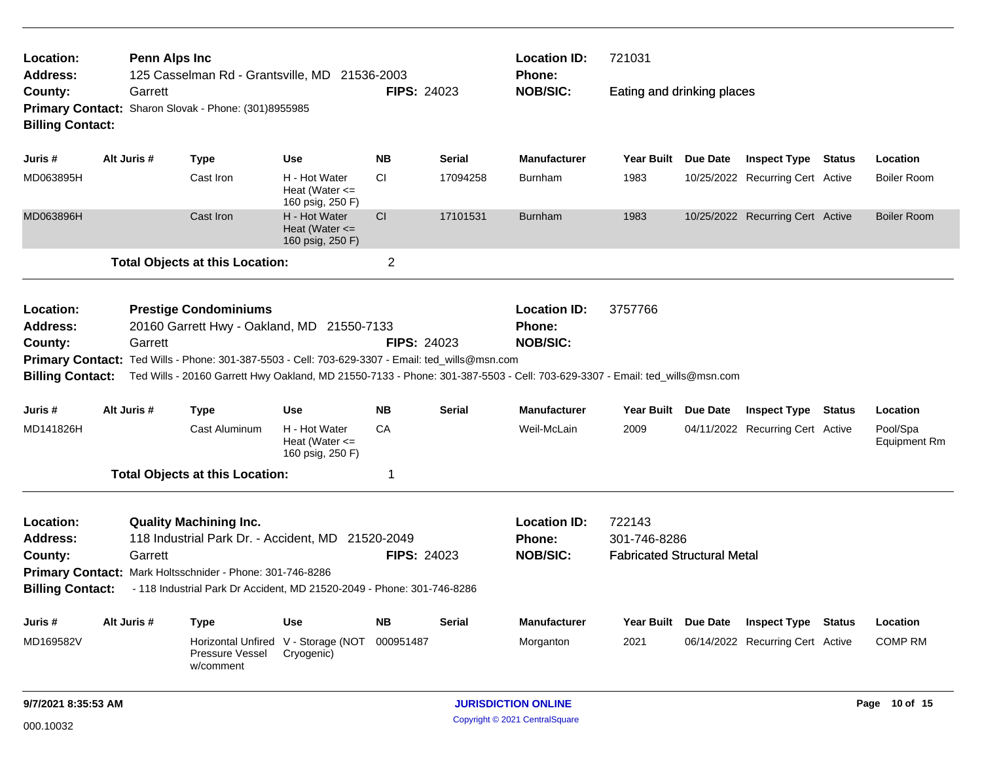| Location:                                                   | <b>Penn Alps Inc</b> |                                                                                                                                                                                                                                |                                                         |                    |               | <b>Location ID:</b>                              | 721031                                                       |                 |                                  |               |                                 |
|-------------------------------------------------------------|----------------------|--------------------------------------------------------------------------------------------------------------------------------------------------------------------------------------------------------------------------------|---------------------------------------------------------|--------------------|---------------|--------------------------------------------------|--------------------------------------------------------------|-----------------|----------------------------------|---------------|---------------------------------|
| <b>Address:</b><br>County:<br><b>Billing Contact:</b>       | Garrett              | 125 Casselman Rd - Grantsville, MD 21536-2003<br>Primary Contact: Sharon Slovak - Phone: (301)8955985                                                                                                                          |                                                         | <b>FIPS: 24023</b> |               | <b>Phone:</b><br><b>NOB/SIC:</b>                 | Eating and drinking places                                   |                 |                                  |               |                                 |
| Juris #                                                     | Alt Juris #          | <b>Type</b>                                                                                                                                                                                                                    | <b>Use</b>                                              | <b>NB</b>          | <b>Serial</b> | <b>Manufacturer</b>                              | Year Built                                                   | Due Date        | <b>Inspect Type Status</b>       |               | Location                        |
| MD063895H                                                   |                      | Cast Iron                                                                                                                                                                                                                      | H - Hot Water<br>Heat (Water $\leq$<br>160 psig, 250 F) | CI                 | 17094258      | Burnham                                          | 1983                                                         |                 | 10/25/2022 Recurring Cert Active |               | <b>Boiler Room</b>              |
| MD063896H                                                   |                      | Cast Iron                                                                                                                                                                                                                      | H - Hot Water<br>Heat (Water $\leq$<br>160 psig, 250 F) | CI                 | 17101531      | <b>Burnham</b>                                   | 1983                                                         |                 | 10/25/2022 Recurring Cert Active |               | <b>Boiler Room</b>              |
|                                                             |                      | <b>Total Objects at this Location:</b>                                                                                                                                                                                         |                                                         | $\overline{2}$     |               |                                                  |                                                              |                 |                                  |               |                                 |
| Location:<br><b>Address:</b>                                |                      | <b>Prestige Condominiums</b><br>20160 Garrett Hwy - Oakland, MD 21550-7133                                                                                                                                                     |                                                         |                    |               | <b>Location ID:</b><br>Phone:                    | 3757766                                                      |                 |                                  |               |                                 |
| County:<br><b>Billing Contact:</b>                          | Garrett              | Primary Contact: Ted Wills - Phone: 301-387-5503 - Cell: 703-629-3307 - Email: ted_wills@msn.com<br>Ted Wills - 20160 Garrett Hwy Oakland, MD 21550-7133 - Phone: 301-387-5503 - Cell: 703-629-3307 - Email: ted_wills@msn.com |                                                         | <b>FIPS: 24023</b> |               | <b>NOB/SIC:</b>                                  |                                                              |                 |                                  |               |                                 |
| Juris #                                                     | Alt Juris #          | <b>Type</b>                                                                                                                                                                                                                    | <b>Use</b>                                              | <b>NB</b>          | Serial        | <b>Manufacturer</b>                              | Year Built                                                   | Due Date        | <b>Inspect Type Status</b>       |               | Location                        |
| MD141826H                                                   |                      | Cast Aluminum                                                                                                                                                                                                                  | H - Hot Water<br>Heat (Water $\leq$<br>160 psig, 250 F) | CA                 |               | Weil-McLain                                      | 2009                                                         |                 | 04/11/2022 Recurring Cert Active |               | Pool/Spa<br><b>Equipment Rm</b> |
|                                                             |                      | <b>Total Objects at this Location:</b>                                                                                                                                                                                         |                                                         | -1                 |               |                                                  |                                                              |                 |                                  |               |                                 |
| Location:<br>Address:<br>County:<br><b>Billing Contact:</b> | Garrett              | <b>Quality Machining Inc.</b><br>118 Industrial Park Dr. - Accident, MD 21520-2049<br>Primary Contact: Mark Holtsschnider - Phone: 301-746-8286<br>- 118 Industrial Park Dr Accident, MD 21520-2049 - Phone: 301-746-8286      |                                                         | <b>FIPS: 24023</b> |               | <b>Location ID:</b><br>Phone:<br><b>NOB/SIC:</b> | 722143<br>301-746-8286<br><b>Fabricated Structural Metal</b> |                 |                                  |               |                                 |
| Juris #                                                     | Alt Juris #          | <b>Type</b>                                                                                                                                                                                                                    | <b>Use</b>                                              | <b>NB</b>          | Serial        | <b>Manufacturer</b>                              | <b>Year Built</b>                                            | <b>Due Date</b> | <b>Inspect Type</b>              | <b>Status</b> | Location                        |
| MD169582V                                                   |                      | <b>Horizontal Unfired</b><br>Pressure Vessel<br>w/comment                                                                                                                                                                      | V - Storage (NOT<br>Cryogenic)                          | 000951487          |               | Morganton                                        | 2021                                                         |                 | 06/14/2022 Recurring Cert Active |               | <b>COMP RM</b>                  |
| 9/7/2021 8:35:53 AM                                         |                      |                                                                                                                                                                                                                                |                                                         |                    |               | <b>JURISDICTION ONLINE</b>                       |                                                              |                 |                                  |               | Page 10 of 15                   |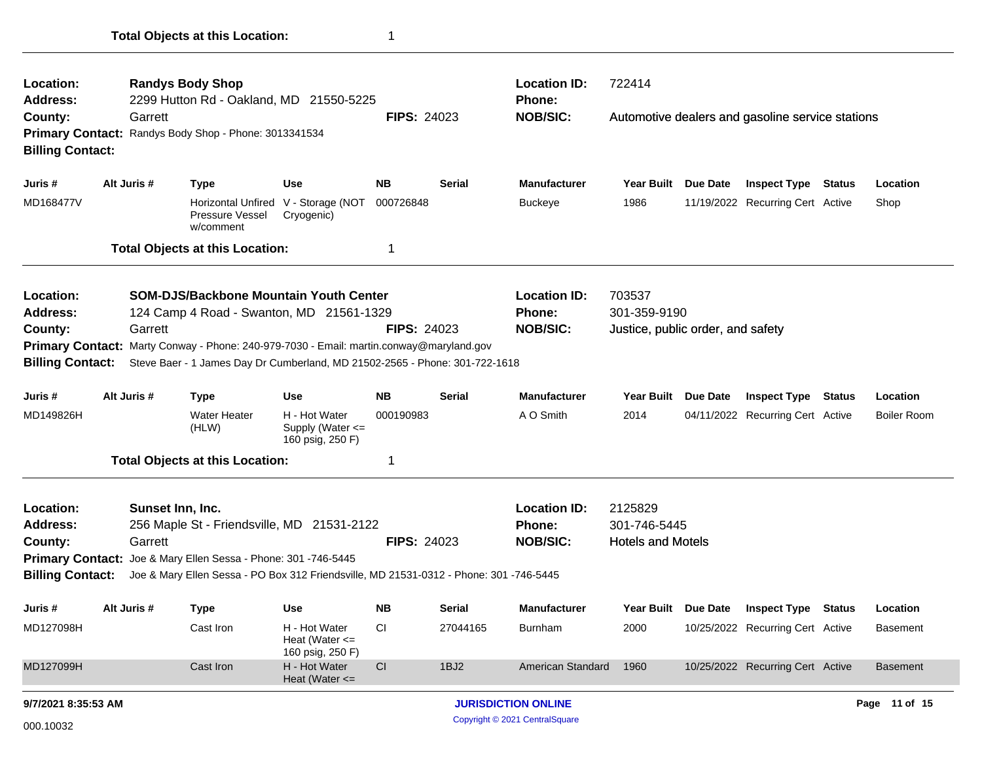| Location:<br><b>Address:</b>            |             | <b>Randys Body Shop</b><br>2299 Hutton Rd - Oakland, MD 21550-5225                        |                                                           |                                                  |                                                     | <b>Location ID:</b><br><b>Phone:</b>             | 722414                 |          |                                                  |        |                    |
|-----------------------------------------|-------------|-------------------------------------------------------------------------------------------|-----------------------------------------------------------|--------------------------------------------------|-----------------------------------------------------|--------------------------------------------------|------------------------|----------|--------------------------------------------------|--------|--------------------|
| County:<br><b>Billing Contact:</b>      | Garrett     | Primary Contact: Randys Body Shop - Phone: 3013341534                                     |                                                           | <b>FIPS: 24023</b>                               |                                                     | <b>NOB/SIC:</b>                                  |                        |          | Automotive dealers and gasoline service stations |        |                    |
| Juris #                                 | Alt Juris # | <b>Type</b>                                                                               | <b>Use</b>                                                | <b>NB</b>                                        | <b>Serial</b>                                       | <b>Manufacturer</b>                              | <b>Year Built</b>      | Due Date | <b>Inspect Type</b>                              | Status | Location           |
| MD168477V                               |             | Pressure Vessel<br>w/comment                                                              | Horizontal Unfired V - Storage (NOT<br>Cryogenic)         | 000726848                                        |                                                     | Buckeye                                          | 1986                   |          | 11/19/2022 Recurring Cert Active                 |        | Shop               |
|                                         |             | <b>Total Objects at this Location:</b>                                                    |                                                           | 1                                                |                                                     |                                                  |                        |          |                                                  |        |                    |
| Location:<br><b>Address:</b>            |             | <b>SOM-DJS/Backbone Mountain Youth Center</b><br>124 Camp 4 Road - Swanton, MD 21561-1329 |                                                           | <b>FIPS: 24023</b>                               |                                                     | <b>Location ID:</b><br>Phone:<br><b>NOB/SIC:</b> | 703537<br>301-359-9190 |          |                                                  |        |                    |
| County:                                 | Garrett     | Primary Contact: Marty Conway - Phone: 240-979-7030 - Email: martin.conway@maryland.gov   |                                                           |                                                  |                                                     | Justice, public order, and safety                |                        |          |                                                  |        |                    |
| <b>Billing Contact:</b>                 |             | Steve Baer - 1 James Day Dr Cumberland, MD 21502-2565 - Phone: 301-722-1618               |                                                           |                                                  |                                                     |                                                  |                        |          |                                                  |        |                    |
| Juris #                                 | Alt Juris # | <b>Type</b>                                                                               | <b>Use</b>                                                | <b>NB</b>                                        | <b>Serial</b>                                       | <b>Manufacturer</b>                              | <b>Year Built</b>      | Due Date | <b>Inspect Type</b>                              | Status | Location           |
| MD149826H                               |             | <b>Water Heater</b><br>(HLW)                                                              | H - Hot Water<br>Supply (Water $\leq$<br>160 psig, 250 F) | 000190983                                        |                                                     | A O Smith                                        | 2014                   |          | 04/11/2022 Recurring Cert Active                 |        | <b>Boiler Room</b> |
|                                         |             | <b>Total Objects at this Location:</b>                                                    |                                                           | $\mathbf 1$                                      |                                                     |                                                  |                        |          |                                                  |        |                    |
| Location:<br><b>Address:</b><br>County: | Garrett     | Sunset Inn, Inc.<br>256 Maple St - Friendsville, MD 21531-2122                            | <b>FIPS: 24023</b>                                        | <b>Location ID:</b><br>Phone:<br><b>NOB/SIC:</b> | 2125829<br>301-746-5445<br><b>Hotels and Motels</b> |                                                  |                        |          |                                                  |        |                    |
|                                         |             | Primary Contact: Joe & Mary Ellen Sessa - Phone: 301 -746-5445                            |                                                           |                                                  |                                                     |                                                  |                        |          |                                                  |        |                    |
| <b>Billing Contact:</b>                 |             | Joe & Mary Ellen Sessa - PO Box 312 Friendsville, MD 21531-0312 - Phone: 301 -746-5445    |                                                           |                                                  |                                                     |                                                  |                        |          |                                                  |        |                    |
| Juris #                                 | Alt Juris # | <b>Type</b>                                                                               | <b>Use</b>                                                | <b>NB</b>                                        | <b>Serial</b>                                       | <b>Manufacturer</b>                              | <b>Year Built</b>      | Due Date | <b>Inspect Type</b>                              | Status | Location           |
| MD127098H                               |             | Cast Iron                                                                                 | H - Hot Water<br>Heat (Water $\leq$<br>160 psig, 250 F)   | CI                                               | 27044165                                            | Burnham                                          | 2000                   |          | 10/25/2022 Recurring Cert Active                 |        | Basement           |
| MD127099H                               |             | Cast Iron                                                                                 | H - Hot Water<br>Heat (Water $\leq$                       | <b>CI</b>                                        | 1BJ2                                                | American Standard                                | 1960                   |          | 10/25/2022 Recurring Cert Active                 |        | Basement           |
| 9/7/2021 8:35:53 AM                     |             |                                                                                           |                                                           |                                                  |                                                     | <b>JURISDICTION ONLINE</b>                       |                        |          |                                                  |        | Page 11 of 15      |

Copyright © 2021 CentralSquare 000.10032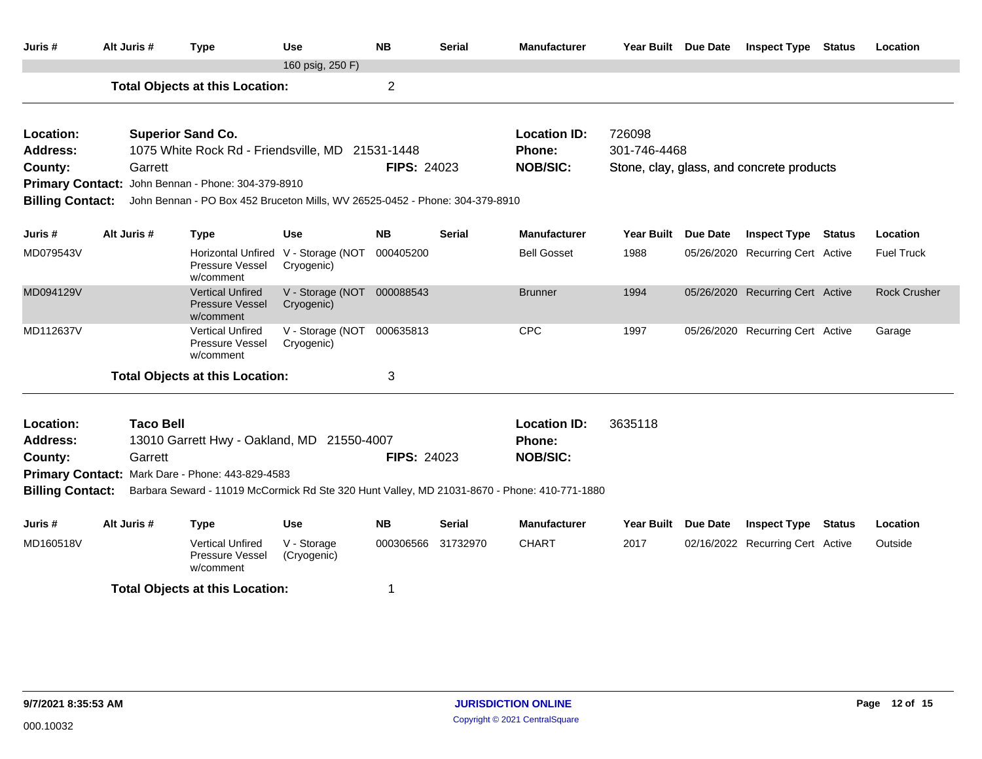| Juris #                                          | Alt Juris # |                  | <b>Type</b>                                                                  | <b>Use</b>                                        | <b>NB</b>          | <b>Serial</b> | <b>Manufacturer</b>                                                                          | Year Built Due Date | <b>Inspect Type</b>                       | <b>Status</b> | Location            |
|--------------------------------------------------|-------------|------------------|------------------------------------------------------------------------------|---------------------------------------------------|--------------------|---------------|----------------------------------------------------------------------------------------------|---------------------|-------------------------------------------|---------------|---------------------|
|                                                  |             |                  |                                                                              | 160 psig, 250 F)                                  |                    |               |                                                                                              |                     |                                           |               |                     |
|                                                  |             |                  | <b>Total Objects at this Location:</b>                                       |                                                   | $\overline{2}$     |               |                                                                                              |                     |                                           |               |                     |
| Location:                                        |             |                  | <b>Superior Sand Co.</b>                                                     |                                                   |                    |               | <b>Location ID:</b>                                                                          | 726098              |                                           |               |                     |
| <b>Address:</b>                                  |             |                  | 1075 White Rock Rd - Friendsville, MD 21531-1448                             |                                                   |                    |               | Phone:                                                                                       | 301-746-4468        |                                           |               |                     |
| County:                                          |             | Garrett          |                                                                              |                                                   | <b>FIPS: 24023</b> |               | <b>NOB/SIC:</b>                                                                              |                     | Stone, clay, glass, and concrete products |               |                     |
|                                                  |             |                  | Primary Contact: John Bennan - Phone: 304-379-8910                           |                                                   |                    |               |                                                                                              |                     |                                           |               |                     |
| <b>Billing Contact:</b>                          |             |                  | John Bennan - PO Box 452 Bruceton Mills, WV 26525-0452 - Phone: 304-379-8910 |                                                   |                    |               |                                                                                              |                     |                                           |               |                     |
| Juris #                                          | Alt Juris # |                  | <b>Type</b>                                                                  | <b>Use</b>                                        | <b>NB</b>          | <b>Serial</b> | <b>Manufacturer</b>                                                                          | Year Built Due Date | <b>Inspect Type Status</b>                |               | Location            |
| MD079543V                                        |             |                  | Pressure Vessel<br>w/comment                                                 | Horizontal Unfired V - Storage (NOT<br>Cryogenic) | 000405200          |               | <b>Bell Gosset</b>                                                                           | 1988                | 05/26/2020 Recurring Cert Active          |               | <b>Fuel Truck</b>   |
| MD094129V                                        |             |                  | <b>Vertical Unfired</b><br><b>Pressure Vessel</b><br>w/comment               | V - Storage (NOT 000088543<br>Cryogenic)          |                    |               | <b>Brunner</b>                                                                               | 1994                | 05/26/2020 Recurring Cert Active          |               | <b>Rock Crusher</b> |
| MD112637V                                        |             |                  | <b>Vertical Unfired</b><br>Pressure Vessel<br>w/comment                      | V - Storage (NOT 000635813<br>Cryogenic)          |                    |               | <b>CPC</b>                                                                                   | 1997                | 05/26/2020 Recurring Cert Active          |               | Garage              |
|                                                  |             |                  | <b>Total Objects at this Location:</b>                                       |                                                   | 3                  |               |                                                                                              |                     |                                           |               |                     |
| Location:                                        |             | <b>Taco Bell</b> |                                                                              |                                                   |                    |               | <b>Location ID:</b>                                                                          | 3635118             |                                           |               |                     |
| <b>Address:</b>                                  |             |                  | 13010 Garrett Hwy - Oakland, MD 21550-4007                                   |                                                   |                    |               | Phone:                                                                                       |                     |                                           |               |                     |
| County:                                          |             | Garrett          |                                                                              |                                                   | <b>FIPS: 24023</b> |               | <b>NOB/SIC:</b>                                                                              |                     |                                           |               |                     |
| Primary Contact: Mark Dare - Phone: 443-829-4583 |             |                  |                                                                              |                                                   |                    |               |                                                                                              |                     |                                           |               |                     |
| <b>Billing Contact:</b>                          |             |                  |                                                                              |                                                   |                    |               | Barbara Seward - 11019 McCormick Rd Ste 320 Hunt Valley, MD 21031-8670 - Phone: 410-771-1880 |                     |                                           |               |                     |
| Juris #                                          | Alt Juris # |                  | <b>Type</b>                                                                  | <b>Use</b>                                        | <b>NB</b>          | <b>Serial</b> | <b>Manufacturer</b>                                                                          | Year Built Due Date | <b>Inspect Type</b>                       | <b>Status</b> | Location            |
| MD160518V                                        |             |                  | <b>Vertical Unfired</b><br>Pressure Vessel<br>w/comment                      | V - Storage<br>(Cryogenic)                        | 000306566          | 31732970      | <b>CHART</b>                                                                                 | 2017                | 02/16/2022 Recurring Cert Active          |               | Outside             |
|                                                  |             |                  | <b>Total Objects at this Location:</b>                                       |                                                   | 1                  |               |                                                                                              |                     |                                           |               |                     |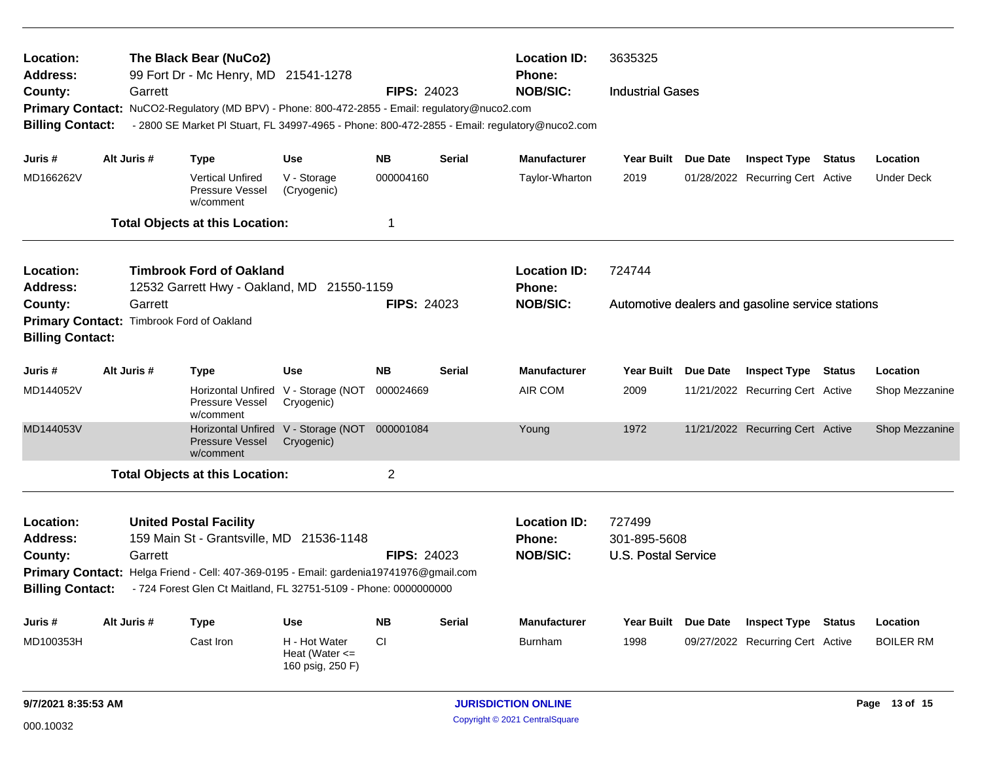| Location:<br><b>Address:</b>            |             | The Black Bear (NuCo2)<br>99 Fort Dr - Mc Henry, MD 21541-1278                                                                                                      |                                                             |                    |               | <b>Location ID:</b><br>Phone:                           | 3635325                                          |  |                                  |               |                   |  |
|-----------------------------------------|-------------|---------------------------------------------------------------------------------------------------------------------------------------------------------------------|-------------------------------------------------------------|--------------------|---------------|---------------------------------------------------------|--------------------------------------------------|--|----------------------------------|---------------|-------------------|--|
| County:                                 |             | <b>NOB/SIC:</b><br>Garrett<br><b>FIPS: 24023</b><br><b>Industrial Gases</b>                                                                                         |                                                             |                    |               |                                                         |                                                  |  |                                  |               |                   |  |
|                                         |             | Primary Contact: NuCO2-Regulatory (MD BPV) - Phone: 800-472-2855 - Email: regulatory@nuco2.com                                                                      |                                                             |                    |               |                                                         |                                                  |  |                                  |               |                   |  |
| <b>Billing Contact:</b>                 |             | - 2800 SE Market PI Stuart, FL 34997-4965 - Phone: 800-472-2855 - Email: regulatory@nuco2.com                                                                       |                                                             |                    |               |                                                         |                                                  |  |                                  |               |                   |  |
| Juris #                                 | Alt Juris # | <b>Type</b>                                                                                                                                                         | <b>Use</b>                                                  | <b>NB</b>          | <b>Serial</b> | <b>Manufacturer</b>                                     | Year Built Due Date                              |  | <b>Inspect Type Status</b>       |               | Location          |  |
| MD166262V                               |             | <b>Vertical Unfired</b><br>Pressure Vessel<br>w/comment                                                                                                             | V - Storage<br>(Cryogenic)                                  | 000004160          |               | Taylor-Wharton                                          | 2019                                             |  | 01/28/2022 Recurring Cert Active |               | <b>Under Deck</b> |  |
|                                         |             | <b>Total Objects at this Location:</b>                                                                                                                              |                                                             | 1                  |               |                                                         |                                                  |  |                                  |               |                   |  |
| Location:                               |             | <b>Timbrook Ford of Oakland</b>                                                                                                                                     |                                                             |                    |               | <b>Location ID:</b>                                     | 724744                                           |  |                                  |               |                   |  |
| <b>Address:</b>                         |             | 12532 Garrett Hwy - Oakland, MD 21550-1159                                                                                                                          |                                                             |                    |               | Phone:                                                  |                                                  |  |                                  |               |                   |  |
| County:                                 | Garrett     |                                                                                                                                                                     |                                                             | <b>FIPS: 24023</b> |               | <b>NOB/SIC:</b>                                         | Automotive dealers and gasoline service stations |  |                                  |               |                   |  |
| <b>Billing Contact:</b>                 |             | Primary Contact: Timbrook Ford of Oakland                                                                                                                           |                                                             |                    |               |                                                         |                                                  |  |                                  |               |                   |  |
| Juris #                                 | Alt Juris # | <b>Type</b>                                                                                                                                                         | <b>Use</b>                                                  | <b>NB</b>          | <b>Serial</b> | <b>Manufacturer</b>                                     | Year Built Due Date                              |  | <b>Inspect Type</b>              | <b>Status</b> | Location          |  |
| MD144052V                               |             | Pressure Vessel<br>w/comment                                                                                                                                        | Horizontal Unfired V - Storage (NOT<br>Cryogenic)           | 000024669          |               | AIR COM                                                 | 2009                                             |  | 11/21/2022 Recurring Cert Active |               | Shop Mezzanine    |  |
| MD144053V                               |             | Pressure Vessel<br>w/comment                                                                                                                                        | Horizontal Unfired V - Storage (NOT 000001084<br>Cryogenic) |                    |               | Young                                                   | 1972                                             |  | 11/21/2022 Recurring Cert Active |               | Shop Mezzanine    |  |
|                                         |             | <b>Total Objects at this Location:</b>                                                                                                                              |                                                             | $\overline{2}$     |               |                                                         |                                                  |  |                                  |               |                   |  |
| Location:<br><b>Address:</b><br>County: | Garrett     | <b>United Postal Facility</b><br>159 Main St - Grantsville, MD 21536-1148<br>Primary Contact: Helga Friend - Cell: 407-369-0195 - Email: gardenia19741976@gmail.com |                                                             | <b>FIPS: 24023</b> |               | <b>Location ID:</b><br><b>Phone:</b><br><b>NOB/SIC:</b> | 727499<br>301-895-5608<br>U.S. Postal Service    |  |                                  |               |                   |  |
| <b>Billing Contact:</b>                 |             | - 724 Forest Glen Ct Maitland, FL 32751-5109 - Phone: 0000000000                                                                                                    |                                                             |                    |               |                                                         |                                                  |  |                                  |               |                   |  |
| Juris #                                 | Alt Juris # | Type                                                                                                                                                                | <b>Use</b>                                                  | <b>NB</b>          | <b>Serial</b> | <b>Manufacturer</b>                                     | Year Built Due Date                              |  | <b>Inspect Type</b>              | Status        | Location          |  |
| MD100353H                               |             | Cast Iron                                                                                                                                                           | H - Hot Water<br>Heat (Water $\leq$<br>160 psig, 250 F)     | <b>CI</b>          |               | <b>Burnham</b>                                          | 1998                                             |  | 09/27/2022 Recurring Cert Active |               | <b>BOILER RM</b>  |  |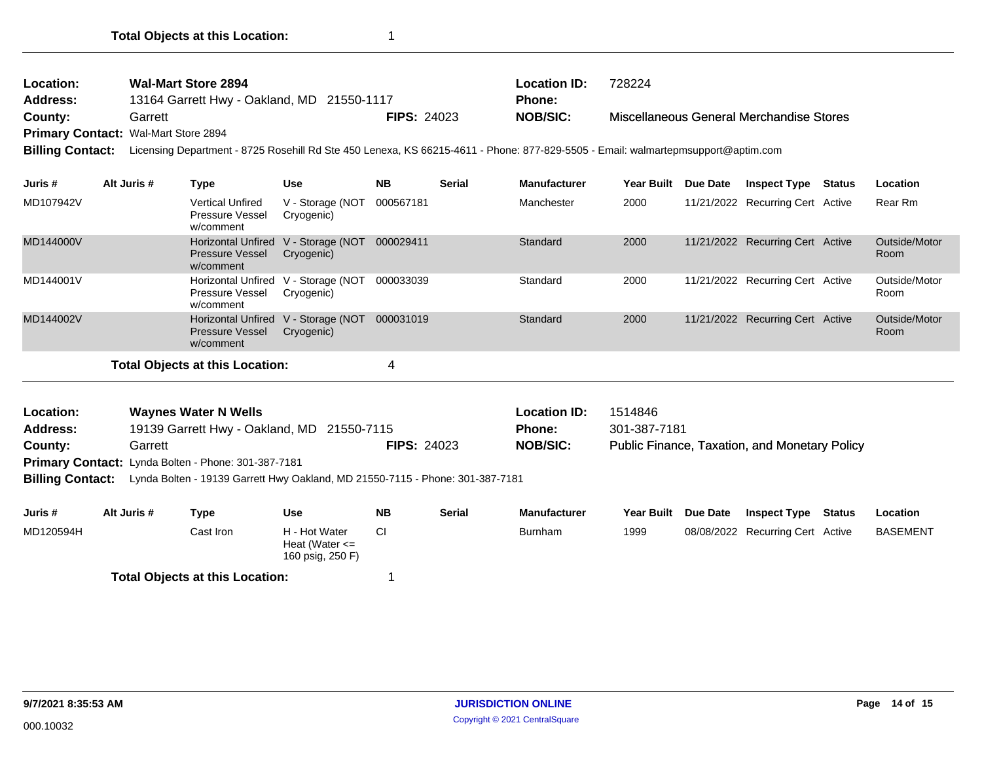| <b>Wal-Mart Store 2894</b><br>Location:<br><b>Address:</b><br>13164 Garrett Hwy - Oakland, MD 21550-1117<br>Garrett<br>County:<br>Primary Contact: Wal-Mart Store 2894<br>Licensing Department - 8725 Rosehill Rd Ste 450 Lenexa, KS 66215-4611 - Phone: 877-829-5505 - Email: walmartepmsupport@aptim.com<br><b>Billing Contact:</b> |             |                                                                  |                                |           | <b>FIPS: 24023</b> | <b>Location ID:</b><br><b>Phone:</b><br><b>NOB/SIC:</b> | 728224                  |                 | Miscellaneous General Merchandise Stores             |               |                       |
|---------------------------------------------------------------------------------------------------------------------------------------------------------------------------------------------------------------------------------------------------------------------------------------------------------------------------------------|-------------|------------------------------------------------------------------|--------------------------------|-----------|--------------------|---------------------------------------------------------|-------------------------|-----------------|------------------------------------------------------|---------------|-----------------------|
| Juris #                                                                                                                                                                                                                                                                                                                               | Alt Juris # | <b>Type</b>                                                      | <b>Use</b>                     | <b>NB</b> | <b>Serial</b>      | <b>Manufacturer</b>                                     | Year Built              | <b>Due Date</b> | <b>Inspect Type</b>                                  | <b>Status</b> | Location              |
| MD107942V                                                                                                                                                                                                                                                                                                                             |             | <b>Vertical Unfired</b><br>Pressure Vessel<br>w/comment          | V - Storage (NOT<br>Cryogenic) | 000567181 |                    | Manchester                                              | 2000                    |                 | 11/21/2022 Recurring Cert Active                     |               | Rear Rm               |
| MD144000V                                                                                                                                                                                                                                                                                                                             |             | <b>Horizontal Unfired</b><br><b>Pressure Vessel</b><br>w/comment | V - Storage (NOT<br>Cryogenic) | 000029411 |                    | Standard                                                | 2000                    |                 | 11/21/2022 Recurring Cert Active                     |               | Outside/Motor<br>Room |
| MD144001V                                                                                                                                                                                                                                                                                                                             |             | <b>Horizontal Unfired</b><br><b>Pressure Vessel</b><br>w/comment | V - Storage (NOT<br>Cryogenic) | 000033039 |                    | Standard                                                | 2000                    |                 | 11/21/2022 Recurring Cert Active                     |               | Outside/Motor<br>Room |
| MD144002V                                                                                                                                                                                                                                                                                                                             |             | <b>Horizontal Unfired</b><br><b>Pressure Vessel</b><br>w/comment | V - Storage (NOT<br>Cryogenic) | 000031019 |                    | Standard                                                | 2000                    |                 | 11/21/2022 Recurring Cert Active                     |               | Outside/Motor<br>Room |
|                                                                                                                                                                                                                                                                                                                                       |             | <b>Total Objects at this Location:</b>                           |                                | 4         |                    |                                                         |                         |                 |                                                      |               |                       |
| <b>Waynes Water N Wells</b><br>Location:<br>19139 Garrett Hwy - Oakland, MD 21550-7115<br><b>Address:</b><br><b>FIPS: 24023</b><br>County:<br>Garrett<br>Primary Contact: Lynda Bolten - Phone: 301-387-7181<br><b>Billing Contact:</b><br>Lynda Bolten - 19139 Garrett Hwy Oakland, MD 21550-7115 - Phone: 301-387-7181              |             |                                                                  |                                |           |                    | <b>Location ID:</b><br>Phone:<br><b>NOB/SIC:</b>        | 1514846<br>301-387-7181 |                 | <b>Public Finance, Taxation, and Monetary Policy</b> |               |                       |

| Juris #                                | Alt Juris # | Type       | Use                                                     | <b>NB</b> | <b>Serial</b> | <b>Manufacturer</b> | Year Built Due Date | <b>Inspect Type</b>              | Status | Location        |
|----------------------------------------|-------------|------------|---------------------------------------------------------|-----------|---------------|---------------------|---------------------|----------------------------------|--------|-----------------|
| MD120594H                              |             | Cast Iron_ | H - Hot Water<br>Heat (Water $\leq$<br>160 psig, 250 F) |           |               | <b>Burnham</b>      | 1999                | 08/08/2022 Recurring Cert Active |        | <b>BASEMENT</b> |
| <b>Total Objects at this Location:</b> |             |            |                                                         |           |               |                     |                     |                                  |        |                 |